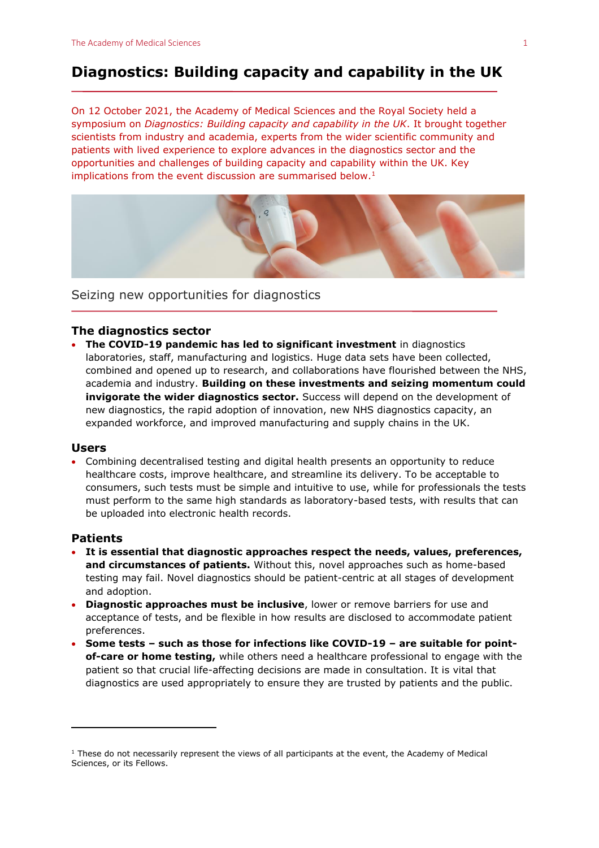# **Diagnostics: Building capacity and capability in the UK**

On 12 October 2021, the Academy of Medical Sciences and the Royal Society held a symposium on *Diagnostics: Building capacity and capability in the UK*. It brought together scientists from industry and academia, experts from the wider scientific community and patients with lived experience to explore advances in the diagnostics sector and the opportunities and challenges of building capacity and capability within the UK. Key implications from the event discussion are summarised below.<sup>1</sup>



Seizing new opportunities for diagnostics

# **The diagnostics sector**

• **The COVID-19 pandemic has led to significant investment** in diagnostics laboratories, staff, manufacturing and logistics. Huge data sets have been collected, combined and opened up to research, and collaborations have flourished between the NHS, academia and industry. **Building on these investments and seizing momentum could invigorate the wider diagnostics sector.** Success will depend on the development of new diagnostics, the rapid adoption of innovation, new NHS diagnostics capacity, an expanded workforce, and improved manufacturing and supply chains in the UK.

#### **Users**

• Combining decentralised testing and digital health presents an opportunity to reduce healthcare costs, improve healthcare, and streamline its delivery. To be acceptable to consumers, such tests must be simple and intuitive to use, while for professionals the tests must perform to the same high standards as laboratory-based tests, with results that can be uploaded into electronic health records.

## **Patients**

- **It is essential that diagnostic approaches respect the needs, values, preferences, and circumstances of patients.** Without this, novel approaches such as home-based testing may fail. Novel diagnostics should be patient-centric at all stages of development and adoption.
- **Diagnostic approaches must be inclusive**, lower or remove barriers for use and acceptance of tests, and be flexible in how results are disclosed to accommodate patient preferences.
- **Some tests – such as those for infections like COVID-19 – are suitable for pointof-care or home testing,** while others need a healthcare professional to engage with the patient so that crucial life-affecting decisions are made in consultation. It is vital that diagnostics are used appropriately to ensure they are trusted by patients and the public.

<sup>&</sup>lt;sup>1</sup> These do not necessarily represent the views of all participants at the event, the Academy of Medical Sciences, or its Fellows.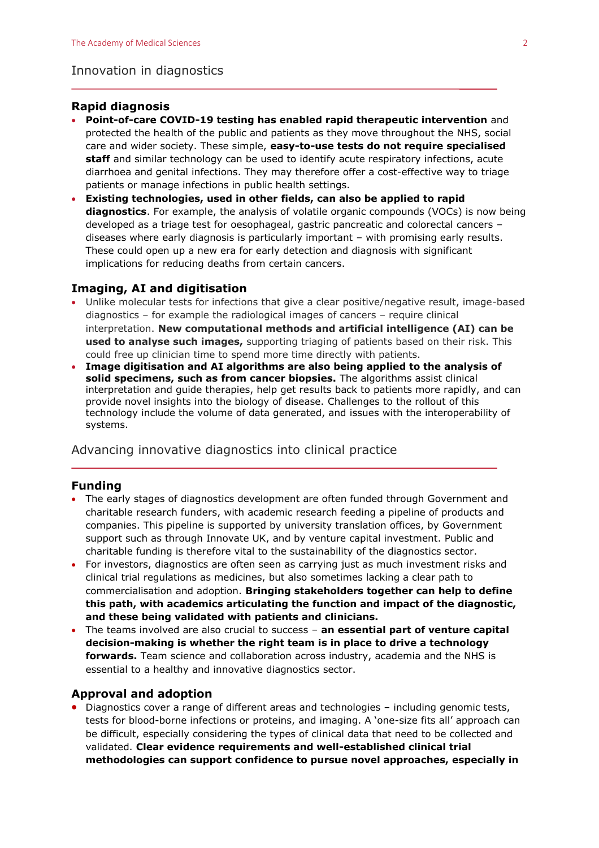#### Innovation in diagnostics

## **Rapid diagnosis**

- **Point-of-care COVID-19 testing has enabled rapid therapeutic intervention** and protected the health of the public and patients as they move throughout the NHS, social care and wider society. These simple, **easy-to-use tests do not require specialised staff** and similar technology can be used to identify acute respiratory infections, acute diarrhoea and genital infections. They may therefore offer a cost-effective way to triage patients or manage infections in public health settings.
- **Existing technologies, used in other fields, can also be applied to rapid diagnostics**. For example, the analysis of volatile organic compounds (VOCs) is now being developed as a triage test for oesophageal, gastric pancreatic and colorectal cancers – diseases where early diagnosis is particularly important – with promising early results. These could open up a new era for early detection and diagnosis with significant implications for reducing deaths from certain cancers.

# **Imaging, AI and digitisation**

- Unlike molecular tests for infections that give a clear positive/negative result, image-based diagnostics – for example the radiological images of cancers – require clinical interpretation. **New computational methods and artificial intelligence (AI) can be used to analyse such images,** supporting triaging of patients based on their risk. This could free up clinician time to spend more time directly with patients.
- **Image digitisation and AI algorithms are also being applied to the analysis of solid specimens, such as from cancer biopsies.** The algorithms assist clinical interpretation and guide therapies, help get results back to patients more rapidly, and can provide novel insights into the biology of disease. Challenges to the rollout of this technology include the volume of data generated, and issues with the interoperability of systems.

Advancing innovative diagnostics into clinical practice

# **Funding**

- The early stages of diagnostics development are often funded through Government and charitable research funders, with academic research feeding a pipeline of products and companies. This pipeline is supported by university translation offices, by Government support such as through Innovate UK, and by venture capital investment. Public and charitable funding is therefore vital to the sustainability of the diagnostics sector.
- For investors, diagnostics are often seen as carrying just as much investment risks and clinical trial regulations as medicines, but also sometimes lacking a clear path to commercialisation and adoption. **Bringing stakeholders together can help to define this path, with academics articulating the function and impact of the diagnostic, and these being validated with patients and clinicians.**
- The teams involved are also crucial to success **an essential part of venture capital decision-making is whether the right team is in place to drive a technology forwards.** Team science and collaboration across industry, academia and the NHS is essential to a healthy and innovative diagnostics sector.

#### **Approval and adoption**

• Diagnostics cover a range of different areas and technologies – including genomic tests, tests for blood-borne infections or proteins, and imaging. A 'one-size fits all' approach can be difficult, especially considering the types of clinical data that need to be collected and validated. **Clear evidence requirements and well-established clinical trial methodologies can support confidence to pursue novel approaches, especially in**